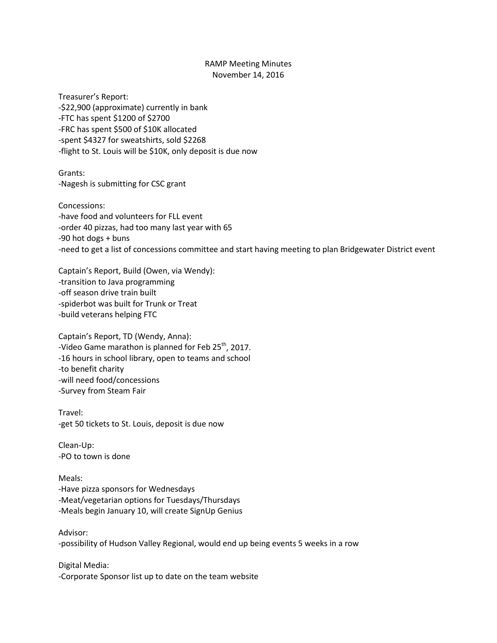## RAMP Meeting Minutes November 14, 2016

Treasurer's Report: -\$22,900 (approximate) currently in bank -FTC has spent \$1200 of \$2700 -FRC has spent \$500 of \$10K allocated -spent \$4327 for sweatshirts, sold \$2268 -flight to St. Louis will be \$10K, only deposit is due now

Grants: -Nagesh is submitting for CSC grant

Concessions: -have food and volunteers for FLL event -order 40 pizzas, had too many last year with 65 -90 hot dogs + buns -need to get a list of concessions committee and start having meeting to plan Bridgewater District event

Captain's Report, Build (Owen, via Wendy): -transition to Java programming -off season drive train built -spiderbot was built for Trunk or Treat -build veterans helping FTC

Captain's Report, TD (Wendy, Anna): -Video Game marathon is planned for Feb 25<sup>th</sup>, 2017. -16 hours in school library, open to teams and school -to benefit charity -will need food/concessions -Survey from Steam Fair

Travel: -get 50 tickets to St. Louis, deposit is due now

Clean-Up: -PO to town is done

Meals: -Have pizza sponsors for Wednesdays -Meat/vegetarian options for Tuesdays/Thursdays -Meals begin January 10, will create SignUp Genius

Advisor: -possibility of Hudson Valley Regional, would end up being events 5 weeks in a row

Digital Media: -Corporate Sponsor list up to date on the team website